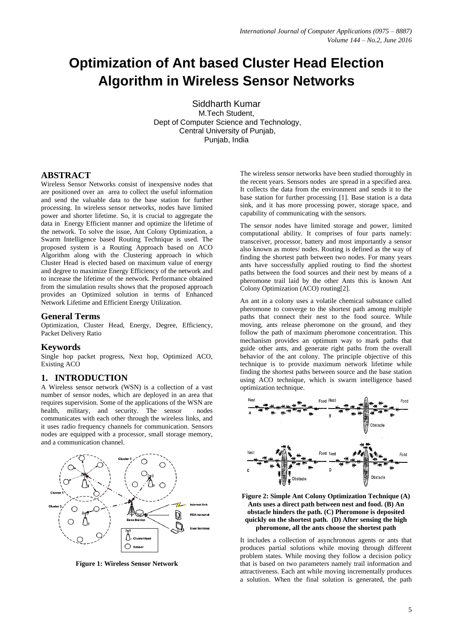# **Optimization of Ant based Cluster Head Election Algorithm in Wireless Sensor Networks**

Siddharth Kumar M.Tech Student, Dept of Computer Science and Technology, Central University of Punjab, Punjab, India

#### **ABSTRACT**

Wireless Sensor Networks consist of inexpensive nodes that are positioned over an area to collect the useful information and send the valuable data to the base station for further processing. In wireless sensor networks, nodes have limited power and shorter lifetime. So, it is crucial to aggregate the data in Energy Efficient manner and optimize the lifetime of the network. To solve the issue, Ant Colony Optimization, a Swarm Intelligence based Routing Technique is used. The proposed system is a Routing Approach based on ACO Algorithm along with the Clustering approach in which Cluster Head is elected based on maximum value of energy and degree to maximize Energy Efficiency of the network and to increase the lifetime of the network. Performance obtained from the simulation results shows that the proposed approach provides an Optimized solution in terms of Enhanced Network Lifetime and Efficient Energy Utilization.

### **General Terms**

Optimization, Cluster Head, Energy, Degree, Efficiency, Packet Delivery Ratio

#### **Keywords**

Single hop packet progress, Next hop, Optimized ACO, Existing ACO

## **1. INTRODUCTION**

A Wireless sensor network (WSN) is a collection of a vast number of sensor nodes, which are deployed in an area that requires supervision. Some of the applications of the WSN are health, military, and security. The sensor nodes communicates with each other through the wireless links, and it uses radio frequency channels for communication. Sensors nodes are equipped with a processor, small storage memory, and a communication channel.



**Figure 1: Wireless Sensor Network** 

The wireless sensor networks have been studied thoroughly in the recent years. Sensors nodes are spread in a specified area. It collects the data from the environment and sends it to the base station for further processing [1]. Base station is a data sink, and it has more processing power, storage space, and capability of communicating with the sensors.

The sensor nodes have limited storage and power, limited computational ability. It comprises of four parts namely: transceiver, processor, battery and most importantly a sensor also known as motes/ nodes. Routing is defined as the way of finding the shortest path between two nodes. For many years ants have successfully applied routing to find the shortest paths between the food sources and their nest by means of a pheromone trail laid by the other Ants this is known Ant Colony Optimization (ACO) routing[2].

An ant in a colony uses a volatile chemical substance called pheromone to converge to the shortest path among multiple paths that connect their nest to the food source. While moving, ants release pheromone on the ground, and they follow the path of maximum pheromone concentration. This mechanism provides an optimum way to mark paths that guide other ants, and generate right paths from the overall behavior of the ant colony. The principle objective of this technique is to provide maximum network lifetime while finding the shortest paths between source and the base station using ACO technique, which is swarm intelligence based optimization technique.



| Figure 2: Simple Ant Colony Optimization Technique (A)   |
|----------------------------------------------------------|
| Ants uses a direct path between nest and food. (B) An    |
| obstacle hinders the path. (C) Pheromone is deposited    |
| quickly on the shortest path. (D) After sensing the high |
| pheromone, all the ants choose the shortest path         |

It includes a collection of asynchronous agents or ants that produces partial solutions while moving through different problem states. While moving they follow a decision policy that is based on two parameters namely trail information and attractiveness. Each ant while moving incrementally produces a solution. When the final solution is generated, the path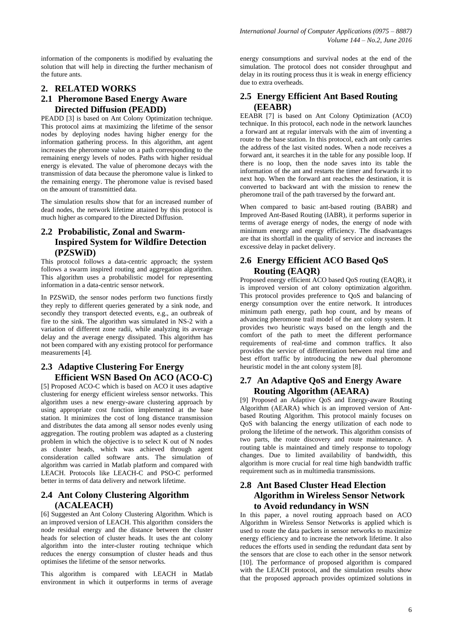information of the components is modified by evaluating the solution that will help in directing the further mechanism of the future ants.

# **2. RELATED WORKS**

# **2.1 Pheromone Based Energy Aware Directed Diffusion (PEADD)**

PEADD [3] is based on Ant Colony Optimization technique. This protocol aims at maximizing the lifetime of the sensor nodes by deploying nodes having higher energy for the information gathering process. In this algorithm, ant agent increases the pheromone value on a path corresponding to the remaining energy levels of nodes. Paths with higher residual energy is elevated. The value of pheromone decays with the transmission of data because the pheromone value is linked to the remaining energy. The pheromone value is revised based on the amount of transmittied data.

The simulation results show that for an increased number of dead nodes, the network lifetime attained by this protocol is much higher as compared to the Directed Diffusion.

## **2.2 Probabilistic, Zonal and Swarm-Inspired System for Wildfire Detection (PZSWiD)**

This protocol follows a data-centric approach; the system follows a swarm inspired routing and aggregation algorithm. This algorithm uses a probabilistic model for representing information in a data-centric sensor network.

In PZSWiD, the sensor nodes perform two functions firstly they reply to different queries generated by a sink node, and secondly they transport detected events, e.g., an outbreak of fire to the sink. The algorithm was simulated in NS-2 with a variation of different zone radii, while analyzing its average delay and the average energy dissipated. This algorithm has not been compared with any existing protocol for performance measurements [4].

## **2.3 Adaptive Clustering For Energy Efficient WSN Based On ACO (ACO-C)**

[5] Proposed ACO-C which is based on ACO it uses adaptive clustering for energy efficient wireless sensor networks. This algorithm uses a new energy-aware clustering approach by using appropriate cost function implemented at the base station. It minimizes the cost of long distance transmission and distributes the data among all sensor nodes evenly using aggregation. The routing problem was adapted as a clustering problem in which the objective is to select K out of N nodes as cluster heads, which was achieved through agent consideration called software ants. The simulation of algorithm was carried in Matlab platform and compared with LEACH. Protocols like LEACH-C and PSO-C performed better in terms of data delivery and network lifetime.

## **2.4 Ant Colony Clustering Algorithm (ACALEACH)**

[6] Suggested an Ant Colony Clustering Algorithm. Which is an improved version of LEACH. This algorithm considers the node residual energy and the distance between the cluster heads for selection of cluster heads. It uses the ant colony algorithm into the inter-cluster routing technique which reduces the energy consumption of cluster heads and thus optimises the lifetime of the sensor networks.

This algorithm is compared with LEACH in Matlab environment in which it outperforms in terms of average energy consumptions and survival nodes at the end of the simulation. The protocol does not consider throughput and delay in its routing process thus it is weak in energy efficiency due to extra overheads.

# **2.5 Energy Efficient Ant Based Routing (EEABR)**

EEABR [7] is based on Ant Colony Optimization (ACO) technique. In this protocol, each node in the network launches a forward ant at regular intervals with the aim of inventing a route to the base station. In this protocol, each ant only carries the address of the last visited nodes. When a node receives a forward ant, it searches it in the table for any possible loop. If there is no loop, then the node saves into its table the information of the ant and restarts the timer and forwards it to next hop. When the forward ant reaches the destination, it is converted to backward ant with the mission to renew the pheromone trail of the path traversed by the forward ant.

When compared to basic ant-based routing (BABR) and Improved Ant-Based Routing (IABR), it performs superior in terms of average energy of nodes, the energy of node with minimum energy and energy efficiency. The disadvantages are that its shortfall in the quality of service and increases the excessive delay in packet delivery.

## **2.6 Energy Efficient ACO Based QoS Routing (EAQR)**

Proposed energy efficient ACO based QoS routing (EAQR), it is improved version of ant colony optimization algorithm. This protocol provides preference to QoS and balancing of energy consumption over the entire network. It introduces minimum path energy, path hop count, and by means of advancing pheromone trail model of the ant colony system. It provides two heuristic ways based on the length and the comfort of the path to meet the different performance requirements of real-time and common traffics. It also provides the service of differentiation between real time and best effort traffic by introducing the new dual pheromone heuristic model in the ant colony system [8].

## **2.7 An Adaptive QoS and Energy Aware Routing Algorithm (AEARA)**

[9] Proposed an Adaptive QoS and Energy-aware Routing Algorithm (AEARA) which is an improved version of Antbased Routing Algorithm. This protocol mainly focuses on QoS with balancing the energy utilization of each node to prolong the lifetime of the network. This algorithm consists of two parts, the route discovery and route maintenance. A routing table is maintained and timely response to topology changes. Due to limited availability of bandwidth, this algorithm is more crucial for real time high bandwidth traffic requirement such as in multimedia transmissions.

## **2.8 Ant Based Cluster Head Election Algorithm in Wireless Sensor Network to Avoid redundancy in WSN**

In this paper, a novel routing approach based on ACO Algorithm in Wireless Sensor Networks is applied which is used to route the data packets in sensor networks to maximize energy efficiency and to increase the network lifetime. It also reduces the efforts used in sending the redundant data sent by the sensors that are close to each other in the sensor network [10]. The performance of proposed algorithm is compared with the LEACH protocol, and the simulation results show that the proposed approach provides optimized solutions in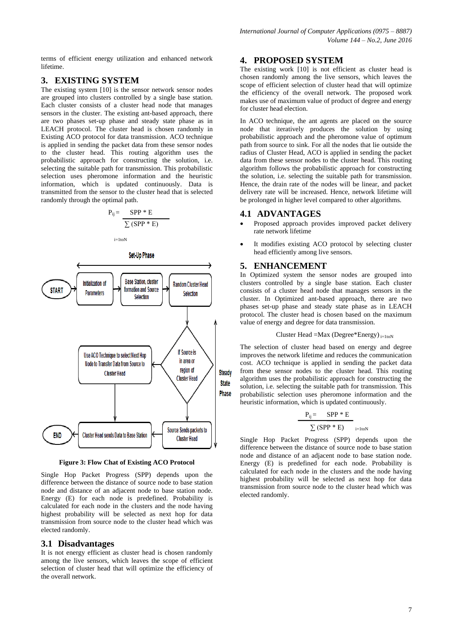terms of efficient energy utilization and enhanced network lifetime.

### **3. EXISTING SYSTEM**

The existing system [10] is the sensor network sensor nodes are grouped into clusters controlled by a single base station. Each cluster consists of a cluster head node that manages sensors in the cluster. The existing ant-based approach, there are two phases set-up phase and steady state phase as in LEACH protocol. The cluster head is chosen randomly in Existing ACO protocol for data transmission. ACO technique is applied in sending the packet data from these sensor nodes to the cluster head. This routing algorithm uses the probabilistic approach for constructing the solution, i.e. selecting the suitable path for transmission. This probabilistic selection uses pheromone information and the heuristic information, which is updated continuously. Data is transmitted from the sensor to the cluster head that is selected randomly through the optimal path.

$$
P_{ij} = \frac{SPP * E}{\sum (SPP * E)}
$$

 $i=1$ toN



**Figure 3: Flow Chat of Existing ACO Protocol**

Single Hop Packet Progress (SPP) depends upon the difference between the distance of source node to base station node and distance of an adjacent node to base station node. Energy (E) for each node is predefined. Probability is calculated for each node in the clusters and the node having highest probability will be selected as next hop for data transmission from source node to the cluster head which was elected randomly.

#### **3.1 Disadvantages**

It is not energy efficient as cluster head is chosen randomly among the live sensors, which leaves the scope of efficient selection of cluster head that will optimize the efficiency of the overall network.

### **4. PROPOSED SYSTEM**

The existing work [10] is not efficient as cluster head is chosen randomly among the live sensors, which leaves the scope of efficient selection of cluster head that will optimize the efficiency of the overall network. The proposed work makes use of maximum value of product of degree and energy for cluster head election.

In ACO technique, the ant agents are placed on the source node that iteratively produces the solution by using probabilistic approach and the pheromone value of optimum path from source to sink. For all the nodes that lie outside the radius of Cluster Head, ACO is applied in sending the packet data from these sensor nodes to the cluster head. This routing algorithm follows the probabilistic approach for constructing the solution, i.e. selecting the suitable path for transmission. Hence, the drain rate of the nodes will be linear, and packet delivery rate will be increased. Hence, network lifetime will be prolonged in higher level compared to other algorithms.

#### **4.1 ADVANTAGES**

- Proposed approach provides improved packet delivery rate network lifetime
- It modifies existing ACO protocol by selecting cluster head efficiently among live sensors.

#### **5. ENHANCEMENT**

In Optimized system the sensor nodes are grouped into clusters controlled by a single base station. Each cluster consists of a cluster head node that manages sensors in the cluster. In Optimized ant-based approach, there are two phases set-up phase and steady state phase as in LEACH protocol. The cluster head is chosen based on the maximum value of energy and degree for data transmission.

Cluster Head =Max (Degree\*Energy)
$$
_{i=1\text{toN}}
$$

The selection of cluster head based on energy and degree improves the network lifetime and reduces the communication cost. ACO technique is applied in sending the packet data from these sensor nodes to the cluster head. This routing algorithm uses the probabilistic approach for constructing the solution, i.e. selecting the suitable path for transmission. This probabilistic selection uses pheromone information and the heuristic information, which is updated continuously.

$$
\frac{P_{ij} = \text{SPP} * E}{\sum (\text{SPP} * E)}_{i=1\text{toN}}
$$

Single Hop Packet Progress (SPP) depends upon the difference between the distance of source node to base station node and distance of an adjacent node to base station node. Energy (E) is predefined for each node. Probability is calculated for each node in the clusters and the node having highest probability will be selected as next hop for data transmission from source node to the cluster head which was elected randomly.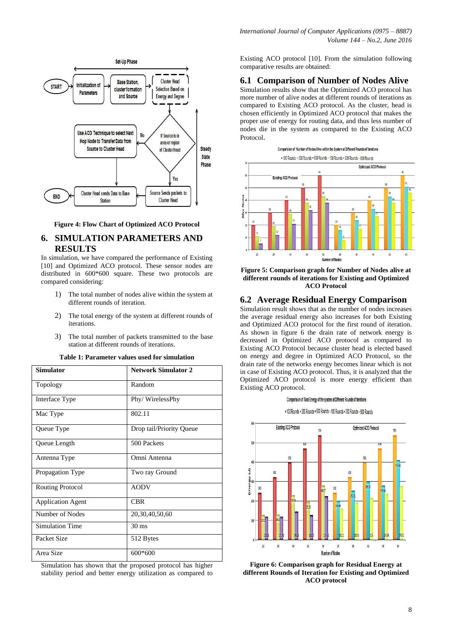



## **6. SIMULATION PARAMETERS AND RESULTS**

In simulation, we have compared the performance of Existing [10] and Optimized ACO protocol. These sensor nodes are distributed in 600\*600 square. These two protocols are compared considering:

- 1) The total number of nodes alive within the system at different rounds of iteration.
- 2) The total energy of the system at different rounds of iterations.
- 3) The total number of packets transmitted to the base station at different rounds of iterations.

| Table 1: Parameter values used for simulation |  |  |
|-----------------------------------------------|--|--|
|-----------------------------------------------|--|--|

| <b>Simulator</b>         | <b>Network Simulator 2</b> |
|--------------------------|----------------------------|
| Topology                 | Random                     |
| Interface Type           | Phy/WirelessPhy            |
| Mac Type                 | 802.11                     |
| Queue Type               | Drop tail/Priority Queue   |
| Queue Length             | 500 Packets                |
| Antenna Type             | Omni Antenna               |
| Propagation Type         | Two ray Ground             |
| Routing Protocol         | <b>AODV</b>                |
| <b>Application Agent</b> | <b>CBR</b>                 |
| Number of Nodes          | 20,30,40,50,60             |
| <b>Simulation Time</b>   | $30 \text{ ms}$            |
| Packet Size              | 512 Bytes                  |
| Area Size                | 600*600                    |

Simulation has shown that the proposed protocol has higher stability period and better energy utilization as compared to

Existing ACO protocol [10]. From the simulation following comparative results are obtained:

#### **6.1 Comparison of Number of Nodes Alive**

Simulation results show that the Optimized ACO protocol has more number of alive nodes at different rounds of iterations as compared to Existing ACO protocol. As the cluster, head is chosen efficiently in Optimized ACO protocol that makes the proper use of energy for routing data, and thus less number of nodes die in the system as compared to the Existing ACO Protocol.





#### **6.2 Average Residual Energy Comparison**

Simulation result shows that as the number of nodes increases the average residual energy also increases for both Existing and Optimized ACO protocol for the first round of iteration. As shown in figure 6 the drain rate of network energy is decreased in Optimized ACO protocol as compared to Existing ACO Protocol because cluster head is elected based on energy and degree in Optimized ACO Protocol, so the drain rate of the networks energy becomes linear which is not in case of Existing ACO protocol. Thus, it is analyzed that the Optimized ACO protocol is more energy efficient than Existing ACO protocol.



. 100 Rounds . 300 Rounds . 600 Rounds . 100 Rounds . 300 Rounds . 600 Rounds



**Figure 6: Comparison graph for Residual Energy at different Rounds of Iteration for Existing and Optimized ACO protocol**